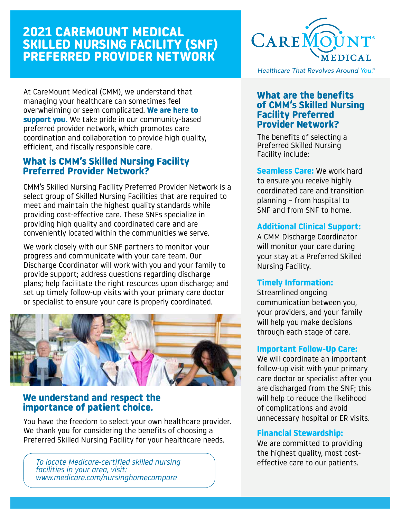# **2021 CAREMOUNT MEDICAL SKILLED NURSING FACILITY (SNF) PREFERRED PROVIDER NETWORK**

At CareMount Medical (CMM), we understand that managing your healthcare can sometimes feel overwhelming or seem complicated. **We are here to support you.** We take pride in our community-based preferred provider network, which promotes care coordination and collaboration to provide high quality, efficient, and fiscally responsible care.

## **What is CMM's Skilled Nursing Facility Preferred Provider Network?**

CMM's Skilled Nursing Facility Preferred Provider Network is a select group of Skilled Nursing Facilities that are required to meet and maintain the highest quality standards while providing cost-effective care. These SNFs specialize in providing high quality and coordinated care and are conveniently located within the communities we serve.

We work closely with our SNF partners to monitor your progress and communicate with your care team. Our Discharge Coordinator will work with you and your family to provide support; address questions regarding discharge plans; help facilitate the right resources upon discharge; and set up timely follow-up visits with your primary care doctor or specialist to ensure your care is properly coordinated.



## **We understand and respect the importance of patient choice.**

You have the freedom to select your own healthcare provider. We thank you for considering the benefits of choosing a Preferred Skilled Nursing Facility for your healthcare needs.

*To locate Medicare-certified skilled nursing facilities in your area, visit: www.medicare.com/nursinghomecompare*



Healthcare That Revolves Around You.®

## **What are the benefits of CMM's Skilled Nursing Facility Preferred Provider Network?**

The benefits of selecting a Preferred Skilled Nursing Facility include:

**Seamless Care:** We work hard to ensure you receive highly coordinated care and transition planning – from hospital to SNF and from SNF to home.

## **Additional Clinical Support:**

A CMM Discharge Coordinator will monitor your care during your stay at a Preferred Skilled Nursing Facility.

## **Timely Information:**

Streamlined ongoing communication between you, your providers, and your family will help you make decisions through each stage of care.

### **Important Follow-Up Care:**

We will coordinate an important follow-up visit with your primary care doctor or specialist after you are discharged from the SNF; this will help to reduce the likelihood of complications and avoid unnecessary hospital or ER visits.

## **Financial Stewardship:**

We are committed to providing the highest quality, most costeffective care to our patients.